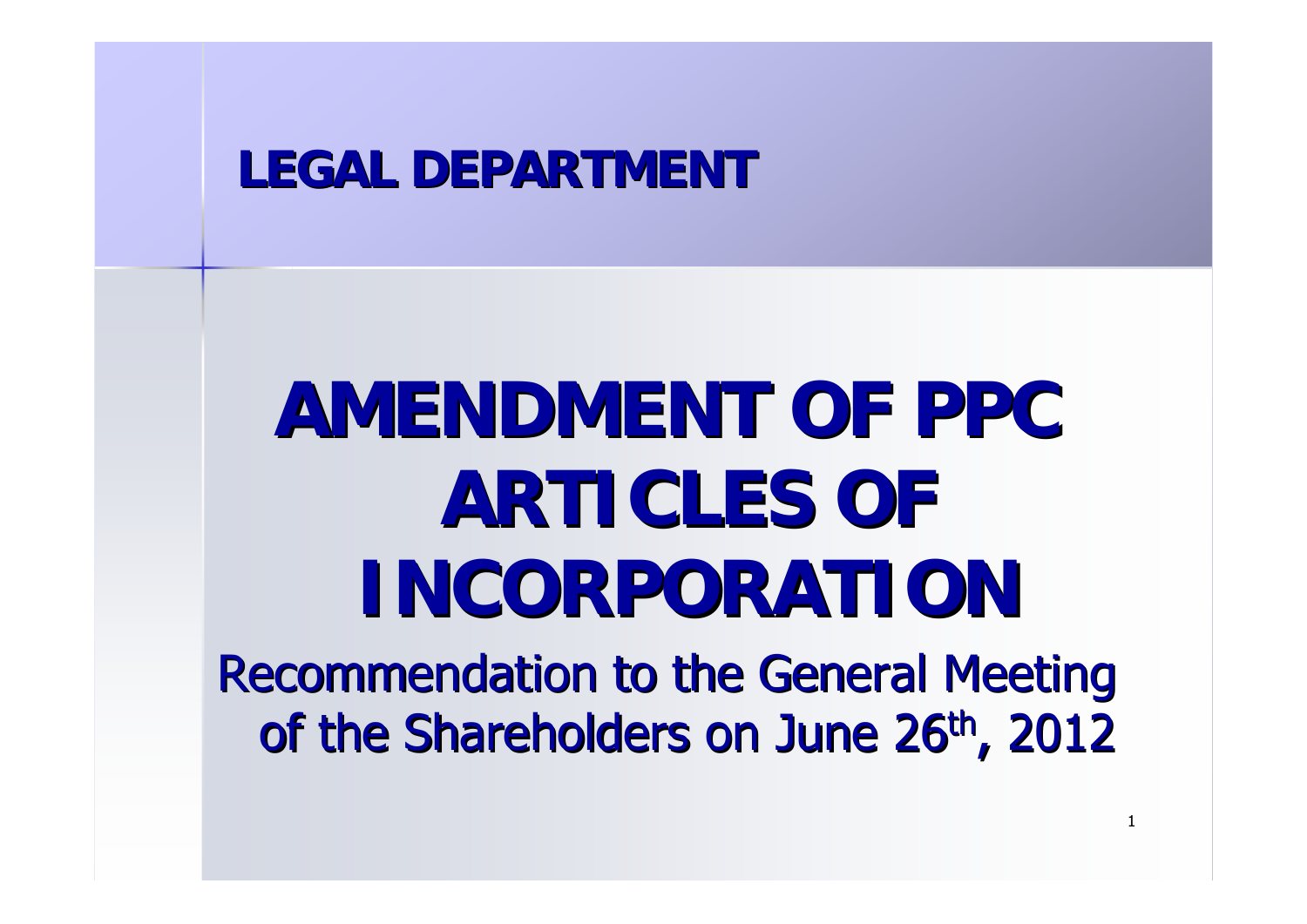# **LEGAL DEPARTMENT**

# **AMENDMENT OF PPC ARTICLES OF INCORPORATION**

**Recommendation to the General Meeting** of the Shareholders on June 26<sup>th</sup>, 2012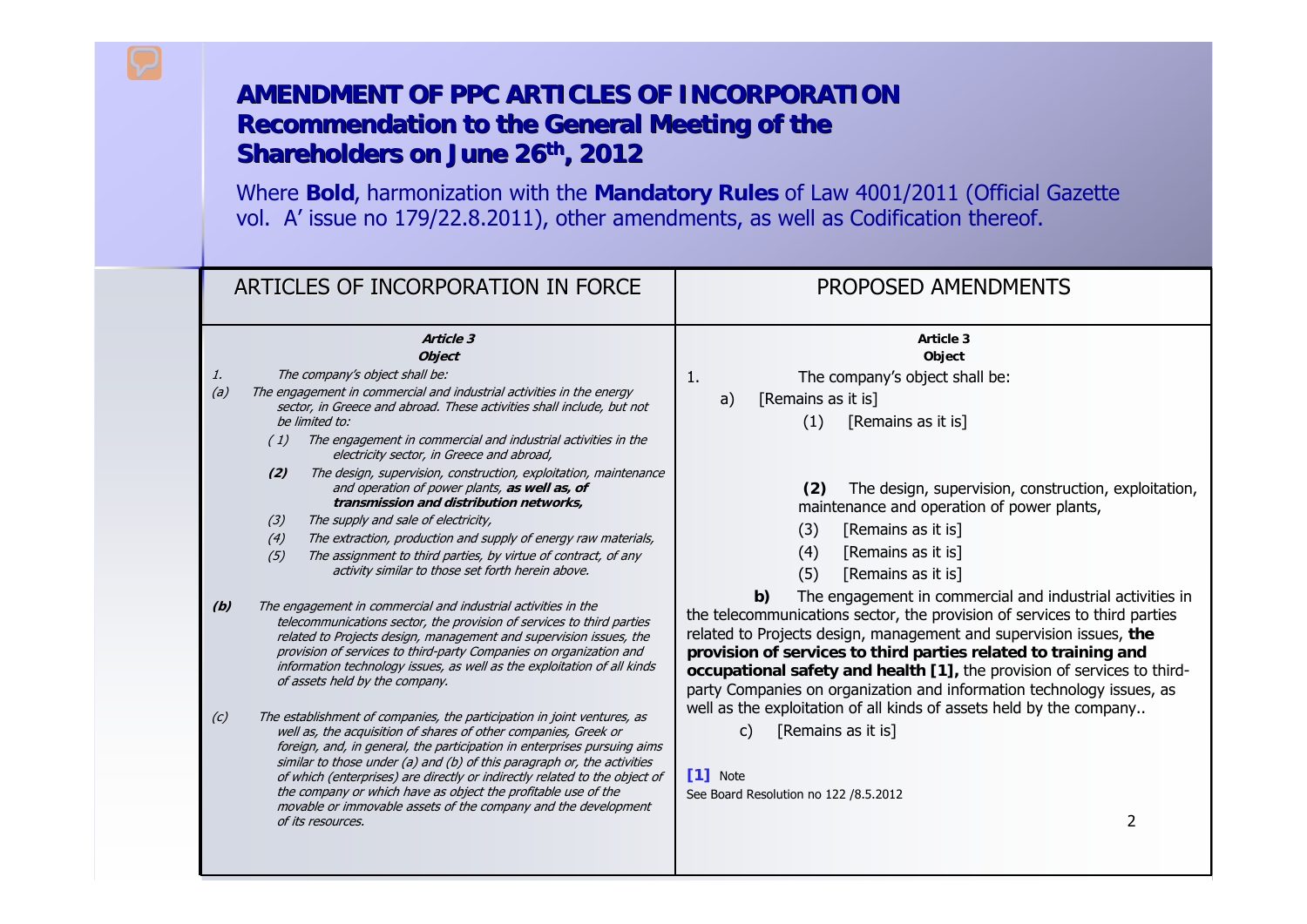| ARTICLES OF INCORPORATION IN FORCE                                                                                                                                                                                                                                                                                                                                                                                                                                                                                                                                                                                                                                                                                                                                                                                                                                | PROPOSED AMENDMENTS                                                                                                                                                                                                                                                                                                                                                                                                                                                                                                                                                                                        |
|-------------------------------------------------------------------------------------------------------------------------------------------------------------------------------------------------------------------------------------------------------------------------------------------------------------------------------------------------------------------------------------------------------------------------------------------------------------------------------------------------------------------------------------------------------------------------------------------------------------------------------------------------------------------------------------------------------------------------------------------------------------------------------------------------------------------------------------------------------------------|------------------------------------------------------------------------------------------------------------------------------------------------------------------------------------------------------------------------------------------------------------------------------------------------------------------------------------------------------------------------------------------------------------------------------------------------------------------------------------------------------------------------------------------------------------------------------------------------------------|
| Article 3<br><b>Object</b><br>The company's object shall be:<br>1.<br>The engagement in commercial and industrial activities in the energy<br>(a)<br>sector, in Greece and abroad. These activities shall include, but not<br>be limited to:<br>The engagement in commercial and industrial activities in the<br>(1)<br>electricity sector, in Greece and abroad,<br>The design, supervision, construction, exploitation, maintenance<br>(2)<br>and operation of power plants, as well as, of<br>transmission and distribution networks,<br>The supply and sale of electricity,<br>(3)<br>The extraction, production and supply of energy raw materials,<br>(4)<br>The assignment to third parties, by virtue of contract, of any<br>(5)<br>activity similar to those set forth herein above.                                                                     | Article 3<br>Object<br>The company's object shall be:<br>1.<br>[Remains as it is]<br>a)<br>(1)<br>[Remains as it is]<br>The design, supervision, construction, exploitation,<br>(2)<br>maintenance and operation of power plants,<br>[Remains as it is]<br>(3)<br>[Remains as it is]<br>(4)<br>(5)<br>[Remains as it is]                                                                                                                                                                                                                                                                                   |
| The engagement in commercial and industrial activities in the<br>(b)<br>telecommunications sector, the provision of services to third parties<br>related to Projects design, management and supervision issues, the<br>provision of services to third-party Companies on organization and<br>information technology issues, as well as the exploitation of all kinds<br>of assets held by the company.<br>The establishment of companies, the participation in joint ventures, as<br>(c)<br>well as, the acquisition of shares of other companies, Greek or<br>foreign, and, in general, the participation in enterprises pursuing aims<br>similar to those under (a) and (b) of this paragraph or, the activities<br>of which (enterprises) are directly or indirectly related to the object of<br>the company or which have as object the profitable use of the | The engagement in commercial and industrial activities in<br>b)<br>the telecommunications sector, the provision of services to third parties<br>related to Projects design, management and supervision issues, the<br>provision of services to third parties related to training and<br>occupational safety and health [1], the provision of services to third-<br>party Companies on organization and information technology issues, as<br>well as the exploitation of all kinds of assets held by the company<br>[Remains as it is]<br>$\mathsf{C}$<br>[1] Note<br>See Board Resolution no 122 /8.5.2012 |
| movable or immovable assets of the company and the development<br>of its resources.                                                                                                                                                                                                                                                                                                                                                                                                                                                                                                                                                                                                                                                                                                                                                                               | $\overline{2}$                                                                                                                                                                                                                                                                                                                                                                                                                                                                                                                                                                                             |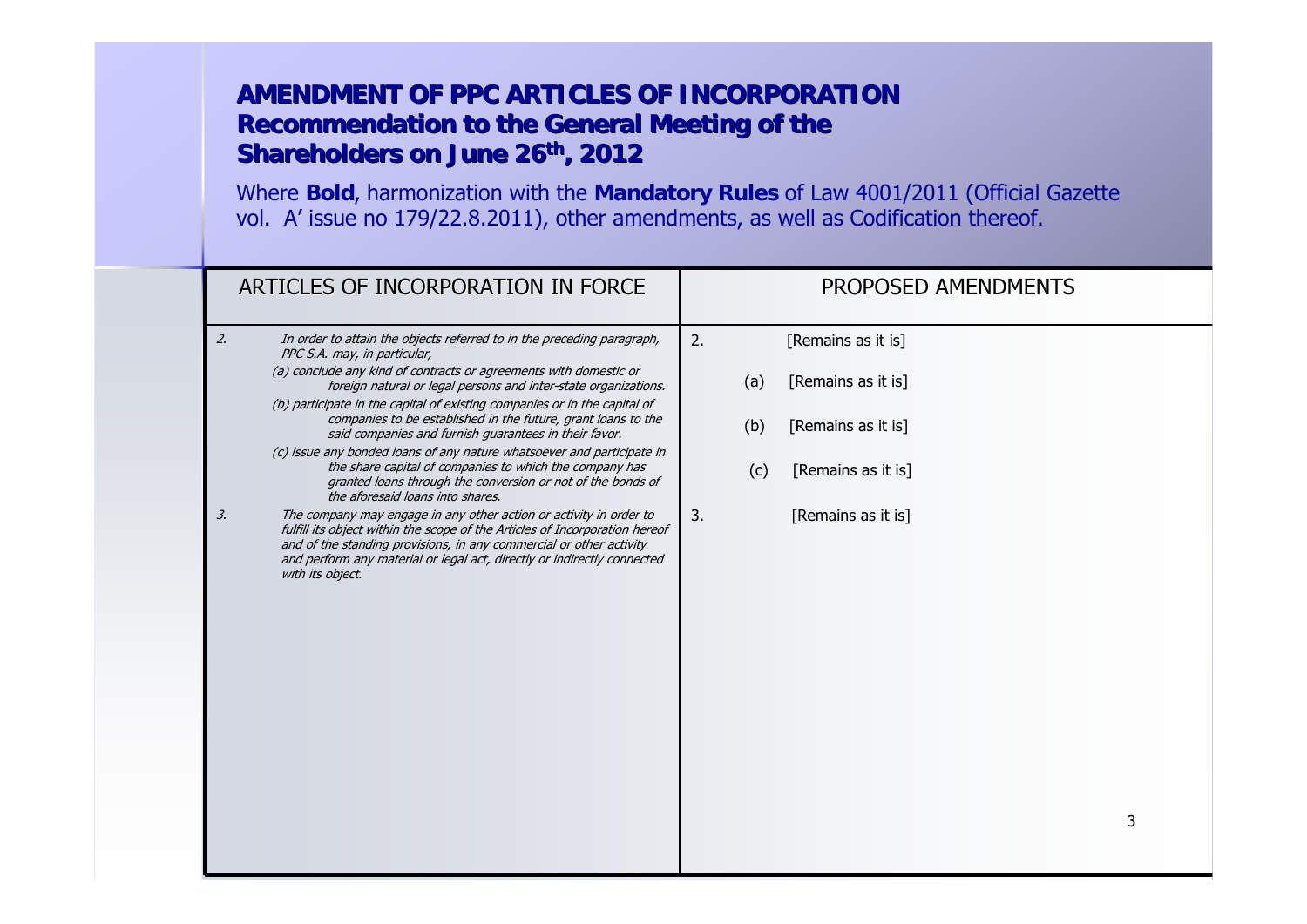| ARTICLES OF INCORPORATION IN FORCE                                                                                                                                                                                                                                                                                            | PROPOSED AMENDMENTS       |
|-------------------------------------------------------------------------------------------------------------------------------------------------------------------------------------------------------------------------------------------------------------------------------------------------------------------------------|---------------------------|
| 2.<br>In order to attain the objects referred to in the preceding paragraph,<br>PPC S.A. may, in particular,                                                                                                                                                                                                                  | 2.<br>[Remains as it is]  |
| (a) conclude any kind of contracts or agreements with domestic or<br>foreign natural or legal persons and inter-state organizations.                                                                                                                                                                                          | [Remains as it is]<br>(a) |
| (b) participate in the capital of existing companies or in the capital of<br>companies to be established in the future, grant loans to the<br>said companies and furnish guarantees in their favor.                                                                                                                           | (b)<br>[Remains as it is] |
| (c) issue any bonded loans of any nature whatsoever and participate in<br>the share capital of companies to which the company has<br>granted loans through the conversion or not of the bonds of<br>the aforesaid loans into shares.                                                                                          | [Remains as it is]<br>(c) |
| 3.<br>The company may engage in any other action or activity in order to<br>fulfill its object within the scope of the Articles of Incorporation hereof<br>and of the standing provisions, in any commercial or other activity<br>and perform any material or legal act, directly or indirectly connected<br>with its object. | 3.<br>[Remains as it is]  |
|                                                                                                                                                                                                                                                                                                                               | 3                         |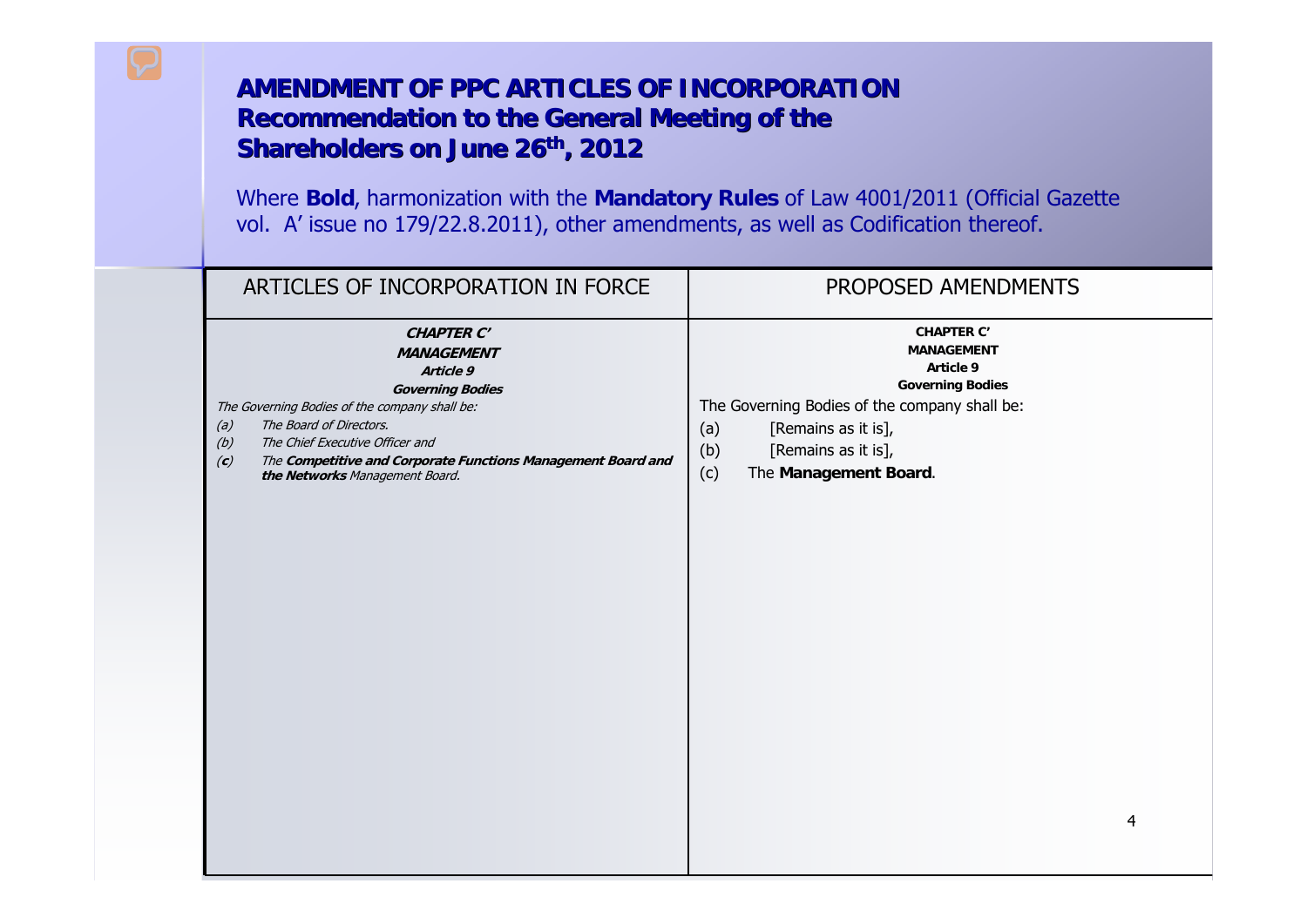| ARTICLES OF INCORPORATION IN FORCE                                                                                                                                                                                                                                                                                   | PROPOSED AMENDMENTS                                                                                                                                                                                                         |
|----------------------------------------------------------------------------------------------------------------------------------------------------------------------------------------------------------------------------------------------------------------------------------------------------------------------|-----------------------------------------------------------------------------------------------------------------------------------------------------------------------------------------------------------------------------|
| <b>CHAPTER C'</b><br><b>MANAGEMENT</b><br>Article 9<br><b>Governing Bodies</b><br>The Governing Bodies of the company shall be:<br>The Board of Directors.<br>(a)<br>(b)<br>The Chief Executive Officer and<br>(c)<br>The Competitive and Corporate Functions Management Board and<br>the Networks Management Board. | <b>CHAPTER C'</b><br><b>MANAGEMENT</b><br>Article 9<br><b>Governing Bodies</b><br>The Governing Bodies of the company shall be:<br>(a)<br>[Remains as it is],<br>(b)<br>[Remains as it is],<br>(c)<br>The Management Board. |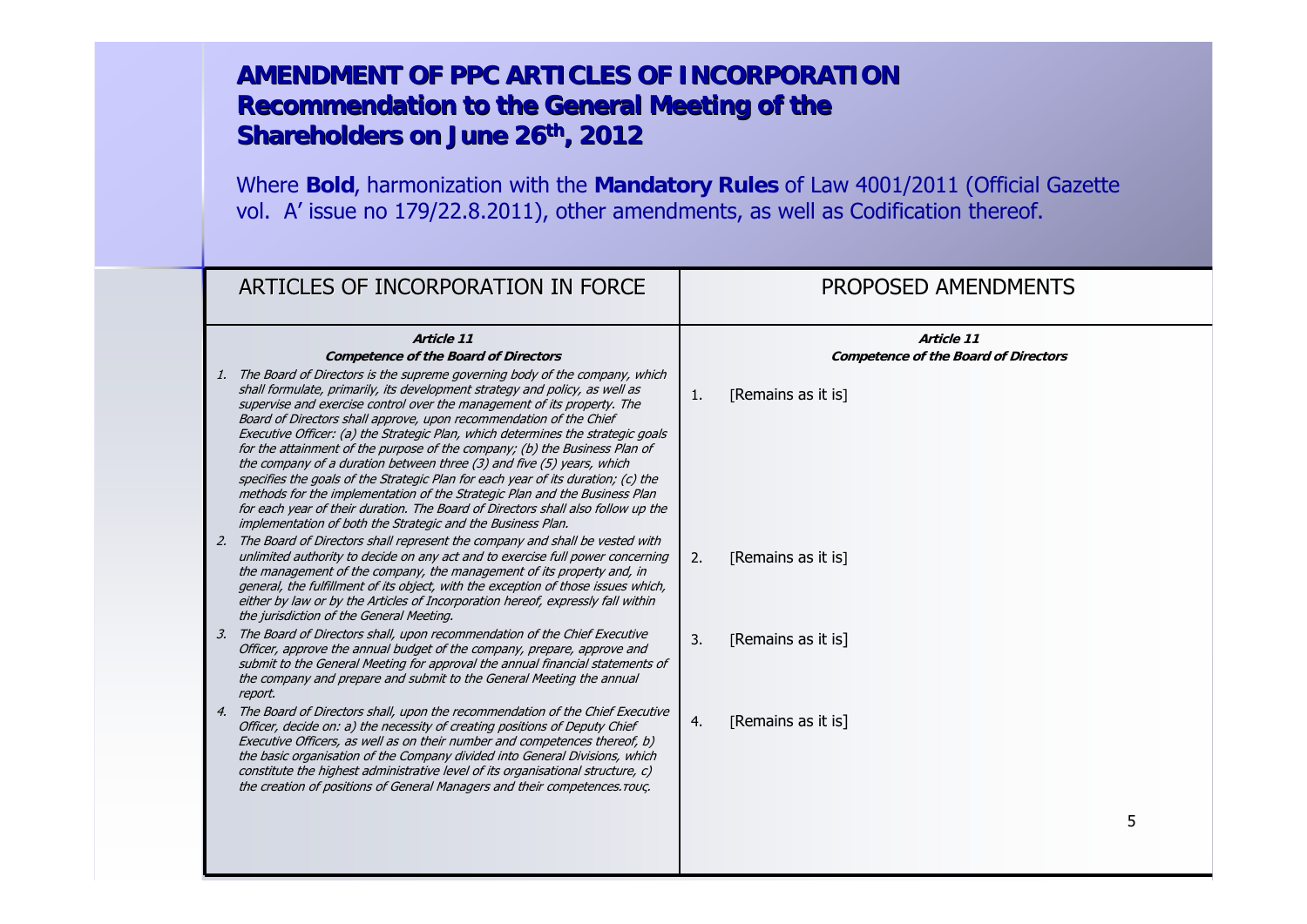| ARTICLES OF INCORPORATION IN FORCE                                                                                                                                                                                                                                                                                                                                                                                                                                                                                                                                                                                                                                                                                                                                                                                                                                               |                  | PROPOSED AMENDMENTS                                       |   |
|----------------------------------------------------------------------------------------------------------------------------------------------------------------------------------------------------------------------------------------------------------------------------------------------------------------------------------------------------------------------------------------------------------------------------------------------------------------------------------------------------------------------------------------------------------------------------------------------------------------------------------------------------------------------------------------------------------------------------------------------------------------------------------------------------------------------------------------------------------------------------------|------------------|-----------------------------------------------------------|---|
| Article 11<br><b>Competence of the Board of Directors</b>                                                                                                                                                                                                                                                                                                                                                                                                                                                                                                                                                                                                                                                                                                                                                                                                                        |                  | Article 11<br><b>Competence of the Board of Directors</b> |   |
| 1. The Board of Directors is the supreme governing body of the company, which<br>shall formulate, primarily, its development strategy and policy, as well as<br>supervise and exercise control over the management of its property. The<br>Board of Directors shall approve, upon recommendation of the Chief<br>Executive Officer: (a) the Strategic Plan, which determines the strategic goals<br>for the attainment of the purpose of the company; (b) the Business Plan of<br>the company of a duration between three $(3)$ and five $(5)$ years, which<br>specifies the goals of the Strategic Plan for each year of its duration; (c) the<br>methods for the implementation of the Strategic Plan and the Business Plan<br>for each year of their duration. The Board of Directors shall also follow up the<br>implementation of both the Strategic and the Business Plan. | 1.               | [Remains as it is]                                        |   |
| 2. The Board of Directors shall represent the company and shall be vested with<br>unlimited authority to decide on any act and to exercise full power concerning<br>the management of the company, the management of its property and, in<br>general, the fulfillment of its object, with the exception of those issues which,<br>either by law or by the Articles of Incorporation hereof, expressly fall within<br>the jurisdiction of the General Meeting.                                                                                                                                                                                                                                                                                                                                                                                                                    | 2.               | [Remains as it is]                                        |   |
| 3. The Board of Directors shall, upon recommendation of the Chief Executive<br>Officer, approve the annual budget of the company, prepare, approve and<br>submit to the General Meeting for approval the annual financial statements of<br>the company and prepare and submit to the General Meeting the annual<br>report.                                                                                                                                                                                                                                                                                                                                                                                                                                                                                                                                                       | $\overline{3}$ . | [Remains as it is]                                        |   |
| 4. The Board of Directors shall, upon the recommendation of the Chief Executive<br>Officer, decide on: a) the necessity of creating positions of Deputy Chief<br>Executive Officers, as well as on their number and competences thereof, b)<br>the basic organisation of the Company divided into General Divisions, which<br>constitute the highest administrative level of its organisational structure, c)<br>the creation of positions of General Managers and their competences. Touc.                                                                                                                                                                                                                                                                                                                                                                                      | 4.               | [Remains as it is]                                        |   |
|                                                                                                                                                                                                                                                                                                                                                                                                                                                                                                                                                                                                                                                                                                                                                                                                                                                                                  |                  |                                                           | 5 |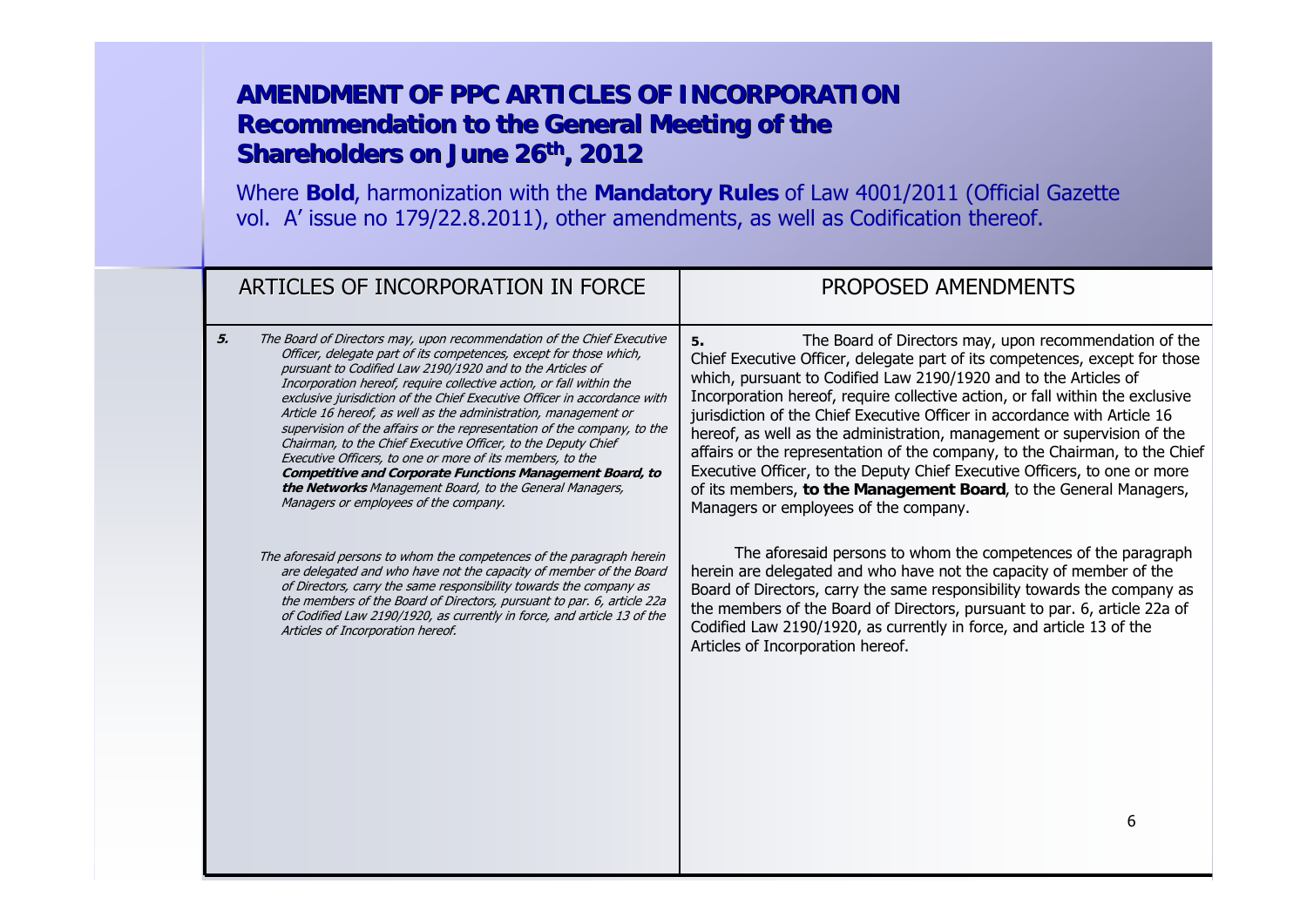| ARTICLES OF INCORPORATION IN FORCE                                                                                                                                                                                                                                                                                                                                                                                                                                                                                                                                                                                                                                                                                                                                                                                                                                                             | PROPOSED AMENDMENTS                                                                                                                                                                                                                                                                                                                                                                                                                                                                                                                                                                                                                                                                                                                                                                                  |
|------------------------------------------------------------------------------------------------------------------------------------------------------------------------------------------------------------------------------------------------------------------------------------------------------------------------------------------------------------------------------------------------------------------------------------------------------------------------------------------------------------------------------------------------------------------------------------------------------------------------------------------------------------------------------------------------------------------------------------------------------------------------------------------------------------------------------------------------------------------------------------------------|------------------------------------------------------------------------------------------------------------------------------------------------------------------------------------------------------------------------------------------------------------------------------------------------------------------------------------------------------------------------------------------------------------------------------------------------------------------------------------------------------------------------------------------------------------------------------------------------------------------------------------------------------------------------------------------------------------------------------------------------------------------------------------------------------|
| 5.<br>The Board of Directors may, upon recommendation of the Chief Executive<br>Officer, delegate part of its competences, except for those which,<br>pursuant to Codified Law 2190/1920 and to the Articles of<br>Incorporation hereof, require collective action, or fall within the<br>exclusive jurisdiction of the Chief Executive Officer in accordance with<br>Article 16 hereof, as well as the administration, management or<br>supervision of the affairs or the representation of the company, to the<br>Chairman, to the Chief Executive Officer, to the Deputy Chief<br>Executive Officers, to one or more of its members, to the<br><b>Competitive and Corporate Functions Management Board, to</b><br>the Networks Management Board, to the General Managers,<br>Managers or employees of the company.<br>The aforesaid persons to whom the competences of the paragraph herein | The Board of Directors may, upon recommendation of the<br>5.<br>Chief Executive Officer, delegate part of its competences, except for those<br>which, pursuant to Codified Law 2190/1920 and to the Articles of<br>Incorporation hereof, require collective action, or fall within the exclusive<br>jurisdiction of the Chief Executive Officer in accordance with Article 16<br>hereof, as well as the administration, management or supervision of the<br>affairs or the representation of the company, to the Chairman, to the Chief<br>Executive Officer, to the Deputy Chief Executive Officers, to one or more<br>of its members, to the Management Board, to the General Managers,<br>Managers or employees of the company.<br>The aforesaid persons to whom the competences of the paragraph |
| are delegated and who have not the capacity of member of the Board<br>of Directors, carry the same responsibility towards the company as<br>the members of the Board of Directors, pursuant to par. 6, article 22a<br>of Codified Law 2190/1920, as currently in force, and article 13 of the<br>Articles of Incorporation hereof.                                                                                                                                                                                                                                                                                                                                                                                                                                                                                                                                                             | herein are delegated and who have not the capacity of member of the<br>Board of Directors, carry the same responsibility towards the company as<br>the members of the Board of Directors, pursuant to par. 6, article 22a of<br>Codified Law 2190/1920, as currently in force, and article 13 of the<br>Articles of Incorporation hereof.                                                                                                                                                                                                                                                                                                                                                                                                                                                            |
|                                                                                                                                                                                                                                                                                                                                                                                                                                                                                                                                                                                                                                                                                                                                                                                                                                                                                                | 6                                                                                                                                                                                                                                                                                                                                                                                                                                                                                                                                                                                                                                                                                                                                                                                                    |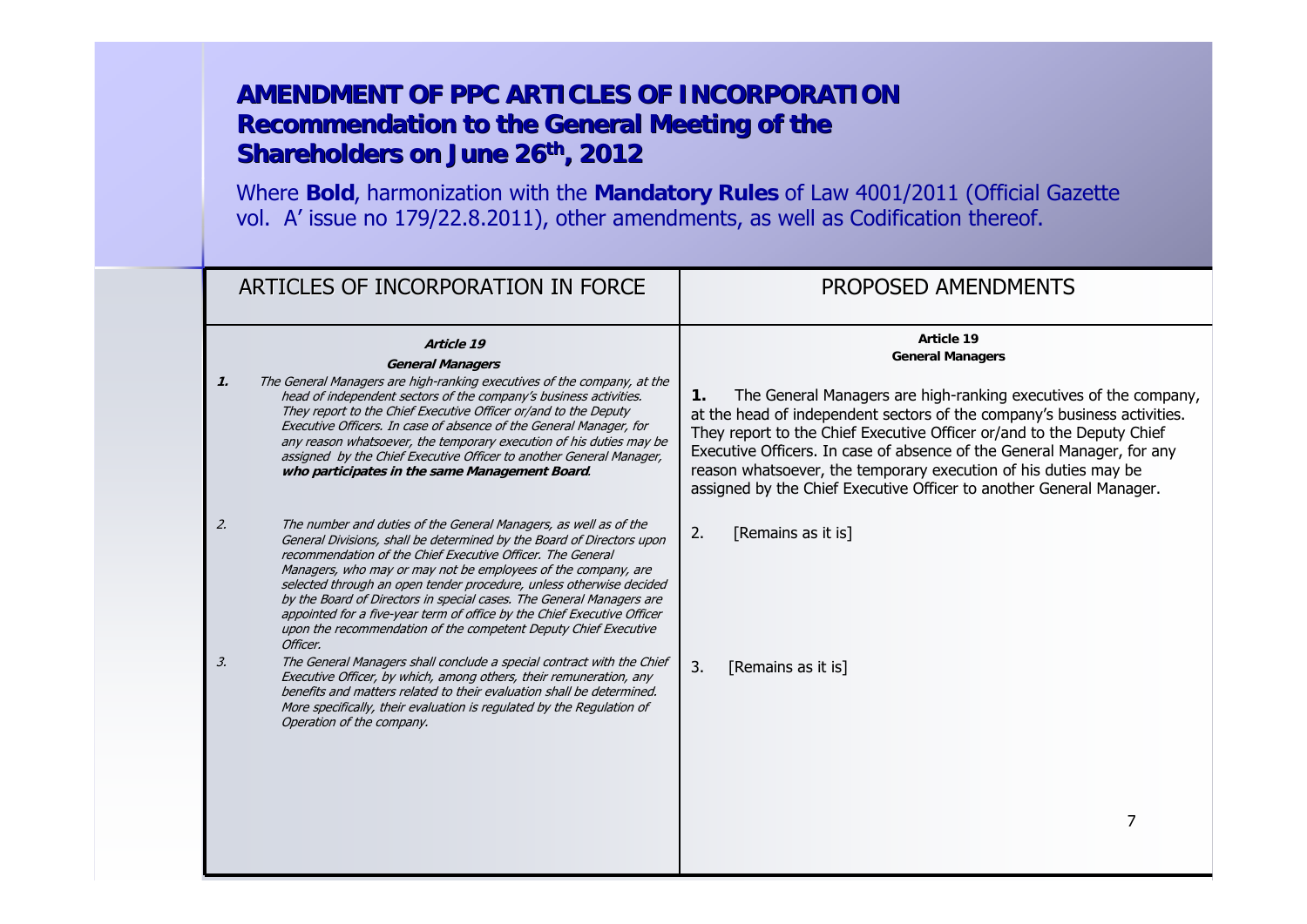|                 | ARTICLES OF INCORPORATION IN FORCE                                                                                                                                                                                                                                                                                                                                                                                                                                                                                                                                                | PROPOSED AMENDMENTS                                                                                                                                                                                                                                                                                                                                                                                                                                         |
|-----------------|-----------------------------------------------------------------------------------------------------------------------------------------------------------------------------------------------------------------------------------------------------------------------------------------------------------------------------------------------------------------------------------------------------------------------------------------------------------------------------------------------------------------------------------------------------------------------------------|-------------------------------------------------------------------------------------------------------------------------------------------------------------------------------------------------------------------------------------------------------------------------------------------------------------------------------------------------------------------------------------------------------------------------------------------------------------|
|                 | Article 19<br><b>General Managers</b>                                                                                                                                                                                                                                                                                                                                                                                                                                                                                                                                             | Article 19<br><b>General Managers</b>                                                                                                                                                                                                                                                                                                                                                                                                                       |
| $\mathcal{I}$ . | The General Managers are high-ranking executives of the company, at the<br>head of independent sectors of the company's business activities.<br>They report to the Chief Executive Officer or/and to the Deputy<br>Executive Officers. In case of absence of the General Manager, for<br>any reason whatsoever, the temporary execution of his duties may be<br>assigned by the Chief Executive Officer to another General Manager,<br>who participates in the same Management Board.                                                                                             | The General Managers are high-ranking executives of the company,<br>$\mathbf{1}$ .<br>at the head of independent sectors of the company's business activities.<br>They report to the Chief Executive Officer or/and to the Deputy Chief<br>Executive Officers. In case of absence of the General Manager, for any<br>reason whatsoever, the temporary execution of his duties may be<br>assigned by the Chief Executive Officer to another General Manager. |
| 2.              | The number and duties of the General Managers, as well as of the<br>General Divisions, shall be determined by the Board of Directors upon<br>recommendation of the Chief Executive Officer. The General<br>Managers, who may or may not be employees of the company, are<br>selected through an open tender procedure, unless otherwise decided<br>by the Board of Directors in special cases. The General Managers are<br>appointed for a five-year term of office by the Chief Executive Officer<br>upon the recommendation of the competent Deputy Chief Executive<br>Officer. | [Remains as it is]<br>2.                                                                                                                                                                                                                                                                                                                                                                                                                                    |
| 3.              | The General Managers shall conclude a special contract with the Chief<br>Executive Officer, by which, among others, their remuneration, any<br>benefits and matters related to their evaluation shall be determined.<br>More specifically, their evaluation is regulated by the Regulation of<br>Operation of the company.                                                                                                                                                                                                                                                        | 3.<br>[Remains as it is]                                                                                                                                                                                                                                                                                                                                                                                                                                    |
|                 |                                                                                                                                                                                                                                                                                                                                                                                                                                                                                                                                                                                   | 7                                                                                                                                                                                                                                                                                                                                                                                                                                                           |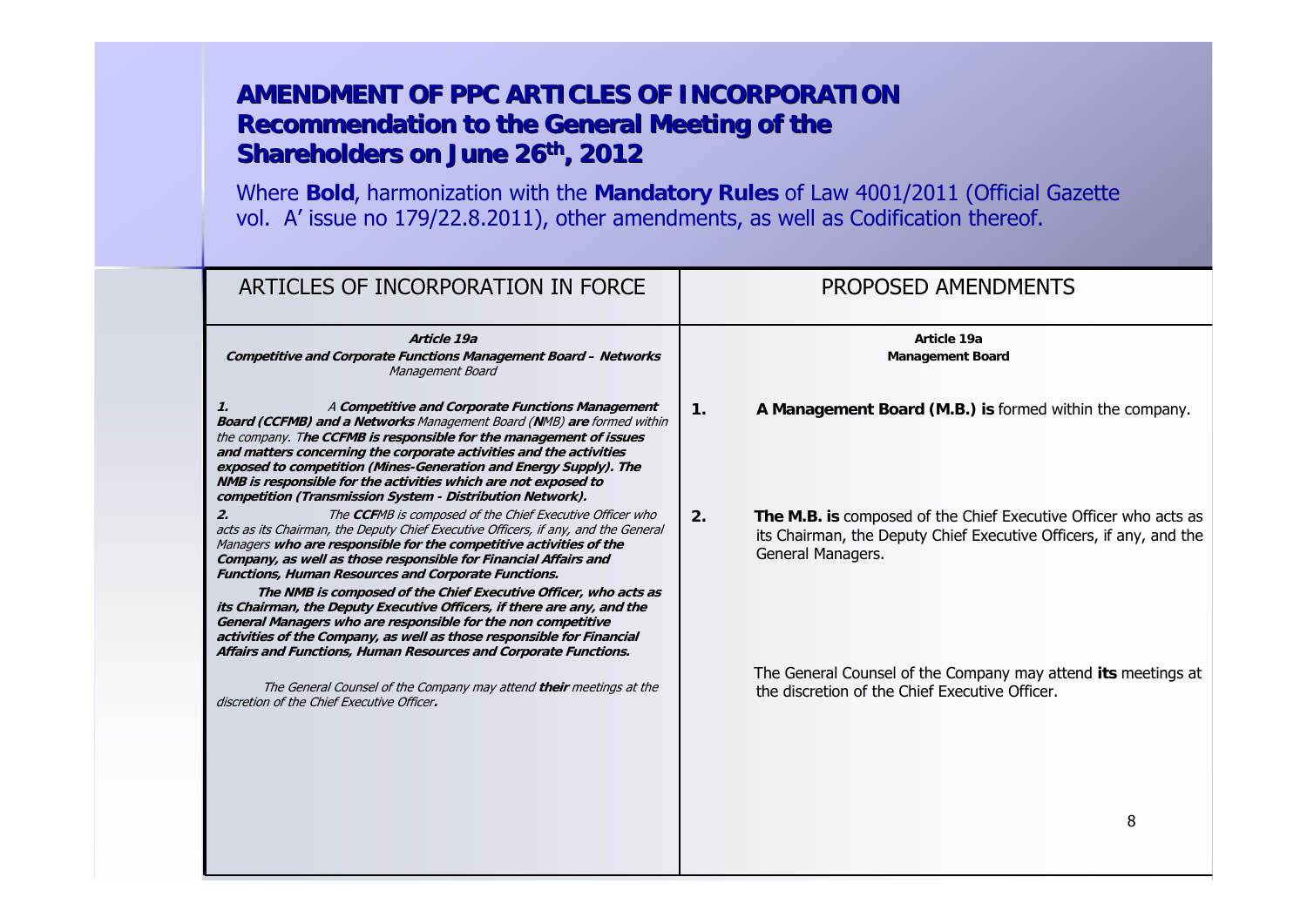| ARTICLES OF INCORPORATION IN FORCE                                                                                                                                                                                                                                                                                                                                                                                                                                                                                                                                                                                                                                                                      | PROPOSED AMENDMENTS                                                                                                                                              |
|---------------------------------------------------------------------------------------------------------------------------------------------------------------------------------------------------------------------------------------------------------------------------------------------------------------------------------------------------------------------------------------------------------------------------------------------------------------------------------------------------------------------------------------------------------------------------------------------------------------------------------------------------------------------------------------------------------|------------------------------------------------------------------------------------------------------------------------------------------------------------------|
| Article 19a<br><b>Competitive and Corporate Functions Management Board - Networks</b><br>Management Board                                                                                                                                                                                                                                                                                                                                                                                                                                                                                                                                                                                               | Article 19a<br><b>Management Board</b>                                                                                                                           |
| A Competitive and Corporate Functions Management<br>1.<br><b>Board (CCFMB) and a Networks Management Board (NMB) are formed within</b><br>the company. The CCFMB is responsible for the management of issues<br>and matters concerning the corporate activities and the activities<br>exposed to competition (Mines-Generation and Energy Supply). The<br>NMB is responsible for the activities which are not exposed to<br>competition (Transmission System - Distribution Network).                                                                                                                                                                                                                   | A Management Board (M.B.) is formed within the company.<br>$\mathbf{1}$ .                                                                                        |
| The CCFMB is composed of the Chief Executive Officer who<br>acts as its Chairman, the Deputy Chief Executive Officers, if any, and the General<br>Managers who are responsible for the competitive activities of the<br>Company, as well as those responsible for Financial Affairs and<br>Functions, Human Resources and Corporate Functions.<br>The NMB is composed of the Chief Executive Officer, who acts as<br>its Chairman, the Deputy Executive Officers, if there are any, and the<br>General Managers who are responsible for the non competitive<br>activities of the Company, as well as those responsible for Financial<br>Affairs and Functions, Human Resources and Corporate Functions. | The M.B. is composed of the Chief Executive Officer who acts as<br>2.<br>its Chairman, the Deputy Chief Executive Officers, if any, and the<br>General Managers. |
| The General Counsel of the Company may attend their meetings at the<br>discretion of the Chief Executive Officer.                                                                                                                                                                                                                                                                                                                                                                                                                                                                                                                                                                                       | The General Counsel of the Company may attend its meetings at<br>the discretion of the Chief Executive Officer.                                                  |
|                                                                                                                                                                                                                                                                                                                                                                                                                                                                                                                                                                                                                                                                                                         | 8                                                                                                                                                                |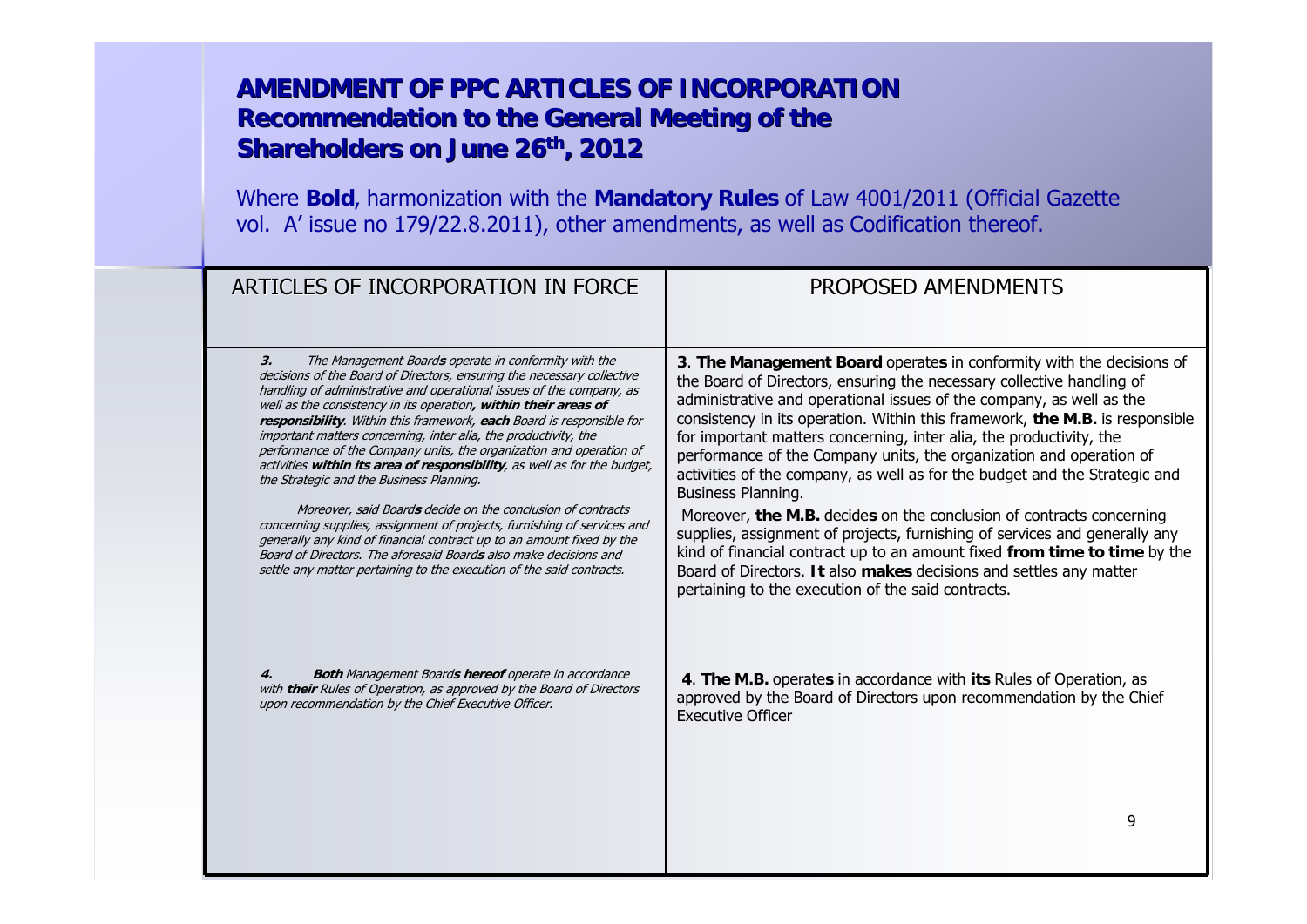| ARTICLES OF INCORPORATION IN FORCE                                                                                                                                                                                                                                                                                                                                                                                                                                                                                                                          | PROPOSED AMENDMENTS                                                                                                                                                                                                                                                                                                                                                                                                                                                             |
|-------------------------------------------------------------------------------------------------------------------------------------------------------------------------------------------------------------------------------------------------------------------------------------------------------------------------------------------------------------------------------------------------------------------------------------------------------------------------------------------------------------------------------------------------------------|---------------------------------------------------------------------------------------------------------------------------------------------------------------------------------------------------------------------------------------------------------------------------------------------------------------------------------------------------------------------------------------------------------------------------------------------------------------------------------|
| The Management Boards operate in conformity with the<br>3.                                                                                                                                                                                                                                                                                                                                                                                                                                                                                                  | 3. The Management Board operates in conformity with the decisions of                                                                                                                                                                                                                                                                                                                                                                                                            |
| decisions of the Board of Directors, ensuring the necessary collective<br>handling of administrative and operational issues of the company, as<br>well as the consistency in its operation, within their areas of<br>responsibility. Within this framework, each Board is responsible for<br>important matters concerning, inter alia, the productivity, the<br>performance of the Company units, the organization and operation of<br>activities within its area of responsibility, as well as for the budget,<br>the Strategic and the Business Planning. | the Board of Directors, ensuring the necessary collective handling of<br>administrative and operational issues of the company, as well as the<br>consistency in its operation. Within this framework, the M.B. is responsible<br>for important matters concerning, inter alia, the productivity, the<br>performance of the Company units, the organization and operation of<br>activities of the company, as well as for the budget and the Strategic and<br>Business Planning. |
| Moreover, said Boards decide on the conclusion of contracts<br>concerning supplies, assignment of projects, furnishing of services and<br>generally any kind of financial contract up to an amount fixed by the<br>Board of Directors. The aforesaid Boards also make decisions and<br>settle any matter pertaining to the execution of the said contracts.                                                                                                                                                                                                 | Moreover, the M.B. decides on the conclusion of contracts concerning<br>supplies, assignment of projects, furnishing of services and generally any<br>kind of financial contract up to an amount fixed from time to time by the<br>Board of Directors. It also makes decisions and settles any matter<br>pertaining to the execution of the said contracts.                                                                                                                     |
| <b>Both Management Boards hereof operate in accordance</b><br>4.<br>with their Rules of Operation, as approved by the Board of Directors<br>upon recommendation by the Chief Executive Officer.                                                                                                                                                                                                                                                                                                                                                             | 4. The M.B. operates in accordance with its Rules of Operation, as<br>approved by the Board of Directors upon recommendation by the Chief<br><b>Executive Officer</b>                                                                                                                                                                                                                                                                                                           |
|                                                                                                                                                                                                                                                                                                                                                                                                                                                                                                                                                             | 9                                                                                                                                                                                                                                                                                                                                                                                                                                                                               |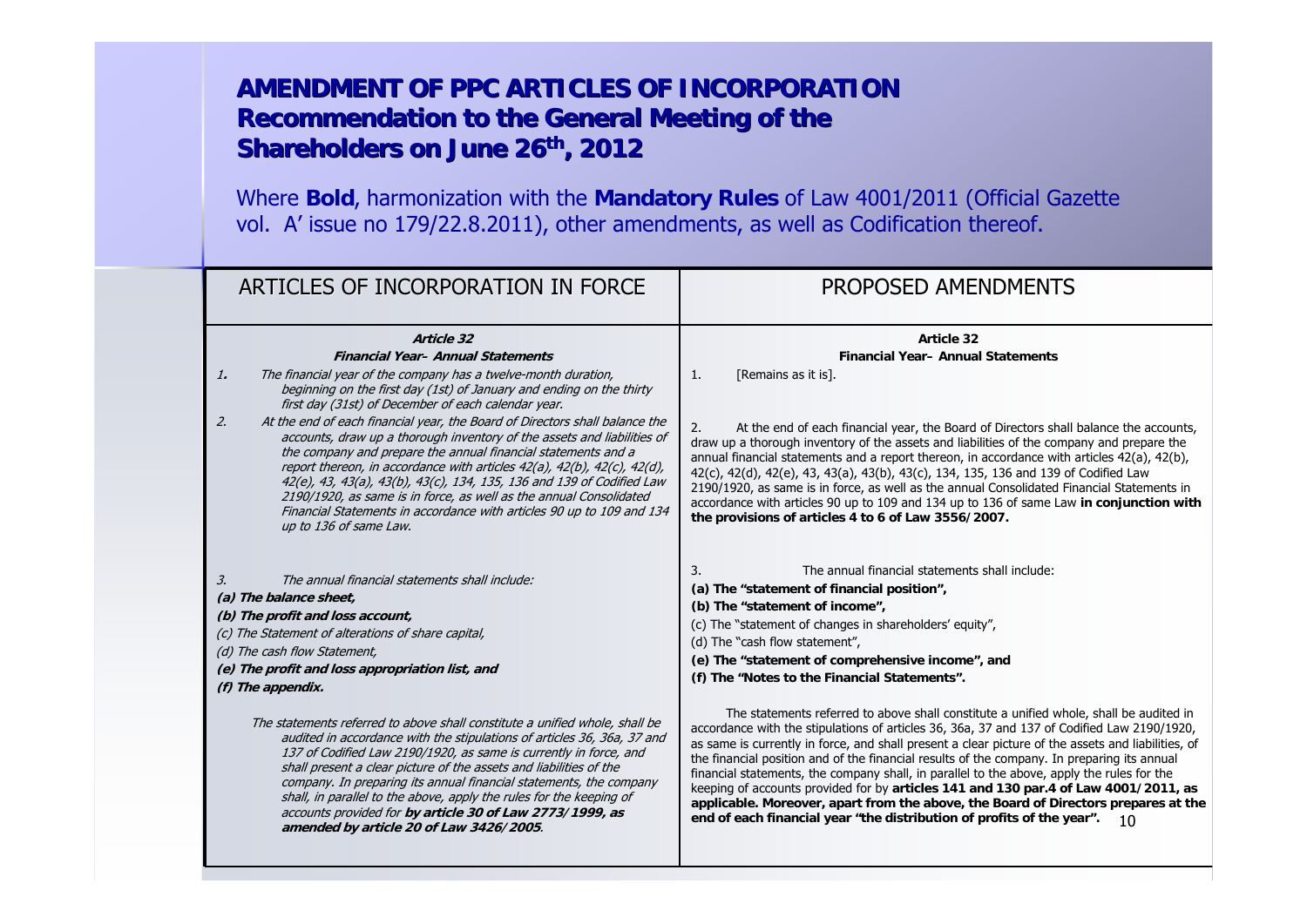| ARTICLES OF INCORPORATION IN FORCE                                                                                                                                                                                                                                                                                                                                                                                                                                                                                                                                                                                                                                                                                                                                                                                                          | PROPOSED AMENDMENTS                                                                                                                                                                                                                                                                                                                                                                                                                                                                                                                                                                                                                                                                                                                                                                                                                                                                                                                                                                                                                                                                           |
|---------------------------------------------------------------------------------------------------------------------------------------------------------------------------------------------------------------------------------------------------------------------------------------------------------------------------------------------------------------------------------------------------------------------------------------------------------------------------------------------------------------------------------------------------------------------------------------------------------------------------------------------------------------------------------------------------------------------------------------------------------------------------------------------------------------------------------------------|-----------------------------------------------------------------------------------------------------------------------------------------------------------------------------------------------------------------------------------------------------------------------------------------------------------------------------------------------------------------------------------------------------------------------------------------------------------------------------------------------------------------------------------------------------------------------------------------------------------------------------------------------------------------------------------------------------------------------------------------------------------------------------------------------------------------------------------------------------------------------------------------------------------------------------------------------------------------------------------------------------------------------------------------------------------------------------------------------|
| Article 32<br><b>Financial Year- Annual Statements</b><br>The financial year of the company has a twelve-month duration,<br>1.<br>beginning on the first day (1st) of January and ending on the thirty<br>first day (31st) of December of each calendar year.<br>At the end of each financial year, the Board of Directors shall balance the<br>2.<br>accounts, draw up a thorough inventory of the assets and liabilities of<br>the company and prepare the annual financial statements and a<br>report thereon, in accordance with articles 42(a), 42(b), 42(c), 42(d),<br>42(e), 43, 43(a), 43(b), 43(c), 134, 135, 136 and 139 of Codified Law<br>2190/1920, as same is in force, as well as the annual Consolidated<br>Financial Statements in accordance with articles 90 up to 109 and 134<br>up to 136 of same Law.                 | Article 32<br><b>Financial Year-Annual Statements</b><br>[Remains as it is].<br>1.<br>At the end of each financial year, the Board of Directors shall balance the accounts,<br>2.<br>draw up a thorough inventory of the assets and liabilities of the company and prepare the<br>annual financial statements and a report thereon, in accordance with articles 42(a), 42(b),<br>42(c), 42(d), 42(e), 43, 43(a), 43(b), 43(c), 134, 135, 136 and 139 of Codified Law<br>2190/1920, as same is in force, as well as the annual Consolidated Financial Statements in<br>accordance with articles 90 up to 109 and 134 up to 136 of same Law in conjunction with<br>the provisions of articles 4 to 6 of Law 3556/2007.                                                                                                                                                                                                                                                                                                                                                                          |
| The annual financial statements shall include:<br>3.<br>(a) The balance sheet,<br>(b) The profit and loss account,<br>(c) The Statement of alterations of share capital,<br>(d) The cash flow Statement,<br>(e) The profit and loss appropriation list, and<br>$(f)$ The appendix.<br>The statements referred to above shall constitute a unified whole, shall be<br>audited in accordance with the stipulations of articles 36, 36a, 37 and<br>137 of Codified Law 2190/1920, as same is currently in force, and<br>shall present a clear picture of the assets and liabilities of the<br>company. In preparing its annual financial statements, the company<br>shall, in parallel to the above, apply the rules for the keeping of<br>accounts provided for by article 30 of Law 2773/1999, as<br>amended by article 20 of Law 3426/2005. | The annual financial statements shall include:<br>3.<br>(a) The "statement of financial position",<br>(b) The "statement of income",<br>(c) The "statement of changes in shareholders' equity",<br>(d) The "cash flow statement",<br>(e) The "statement of comprehensive income", and<br>(f) The "Notes to the Financial Statements".<br>The statements referred to above shall constitute a unified whole, shall be audited in<br>accordance with the stipulations of articles 36, 36a, 37 and 137 of Codified Law 2190/1920,<br>as same is currently in force, and shall present a clear picture of the assets and liabilities, of<br>the financial position and of the financial results of the company. In preparing its annual<br>financial statements, the company shall, in parallel to the above, apply the rules for the<br>keeping of accounts provided for by articles 141 and 130 par.4 of Law 4001/2011, as<br>applicable. Moreover, apart from the above, the Board of Directors prepares at the<br>end of each financial year "the distribution of profits of the year".<br>10 |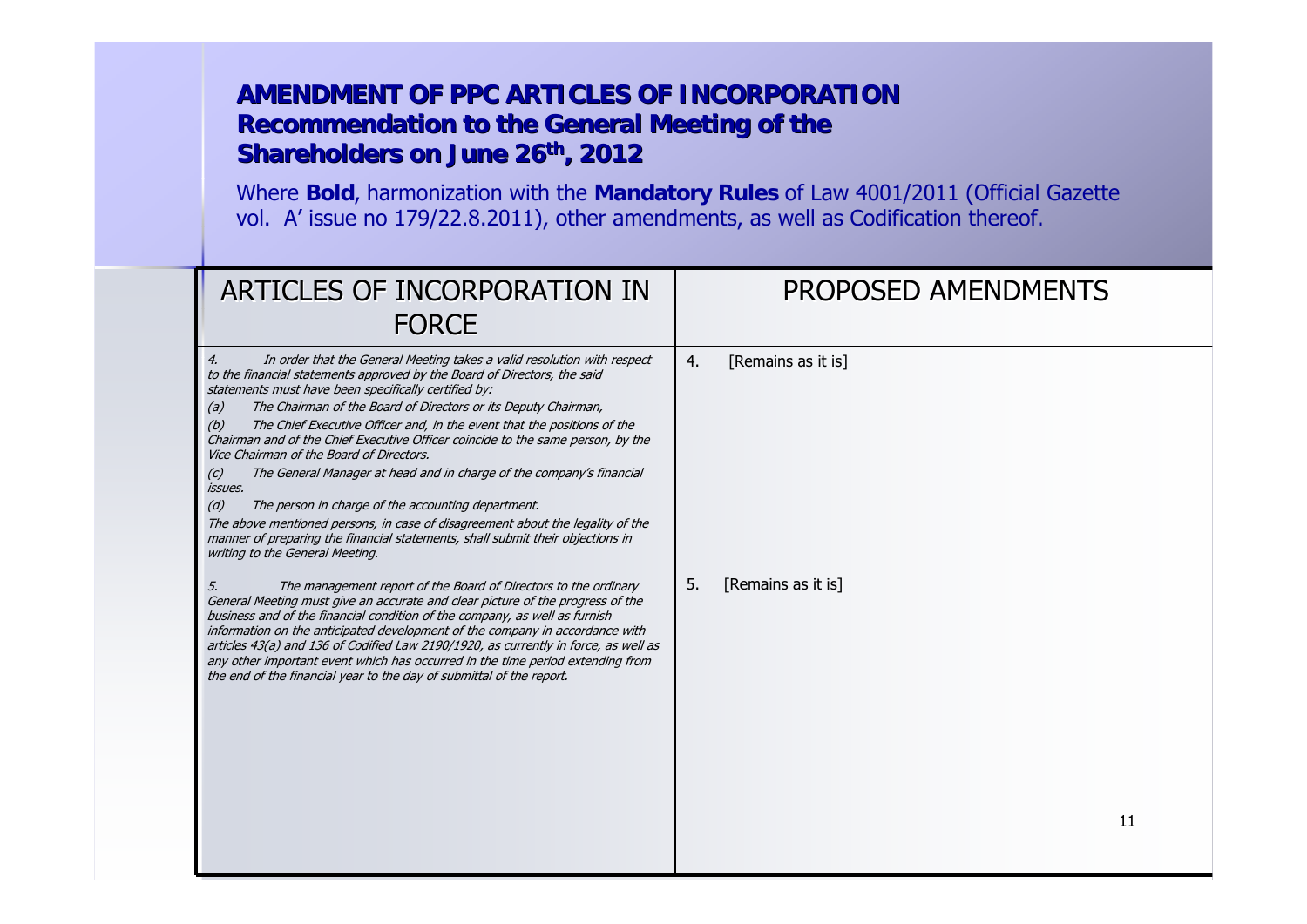| ARTICLES OF INCORPORATION IN<br><b>FORCE</b>                                                                                                                                                                                                                                                                                                                                                                                                                                                                                                                                                                                                                                                                                                                                                                                                                                                                                                                                                                                                                                                                                                                                                                                                                                                                                                                                                                                                               | <b>PROPOSED AMENDMENTS</b>                           |
|------------------------------------------------------------------------------------------------------------------------------------------------------------------------------------------------------------------------------------------------------------------------------------------------------------------------------------------------------------------------------------------------------------------------------------------------------------------------------------------------------------------------------------------------------------------------------------------------------------------------------------------------------------------------------------------------------------------------------------------------------------------------------------------------------------------------------------------------------------------------------------------------------------------------------------------------------------------------------------------------------------------------------------------------------------------------------------------------------------------------------------------------------------------------------------------------------------------------------------------------------------------------------------------------------------------------------------------------------------------------------------------------------------------------------------------------------------|------------------------------------------------------|
| In order that the General Meeting takes a valid resolution with respect<br>4.<br>to the financial statements approved by the Board of Directors, the said<br>statements must have been specifically certified by:<br>(a)<br>The Chairman of the Board of Directors or its Deputy Chairman,<br>The Chief Executive Officer and, in the event that the positions of the<br>(b)<br>Chairman and of the Chief Executive Officer coincide to the same person, by the<br>Vice Chairman of the Board of Directors.<br>The General Manager at head and in charge of the company's financial<br>(c)<br><i>issues.</i><br>(d)<br>The person in charge of the accounting department.<br>The above mentioned persons, in case of disagreement about the legality of the<br>manner of preparing the financial statements, shall submit their objections in<br>writing to the General Meeting.<br>The management report of the Board of Directors to the ordinary<br>5.<br>General Meeting must give an accurate and clear picture of the progress of the<br>business and of the financial condition of the company, as well as furnish<br>information on the anticipated development of the company in accordance with<br>articles 43(a) and 136 of Codified Law 2190/1920, as currently in force, as well as<br>any other important event which has occurred in the time period extending from<br>the end of the financial year to the day of submittal of the report. | [Remains as it is]<br>4.<br>[Remains as it is]<br>5. |
|                                                                                                                                                                                                                                                                                                                                                                                                                                                                                                                                                                                                                                                                                                                                                                                                                                                                                                                                                                                                                                                                                                                                                                                                                                                                                                                                                                                                                                                            | 11                                                   |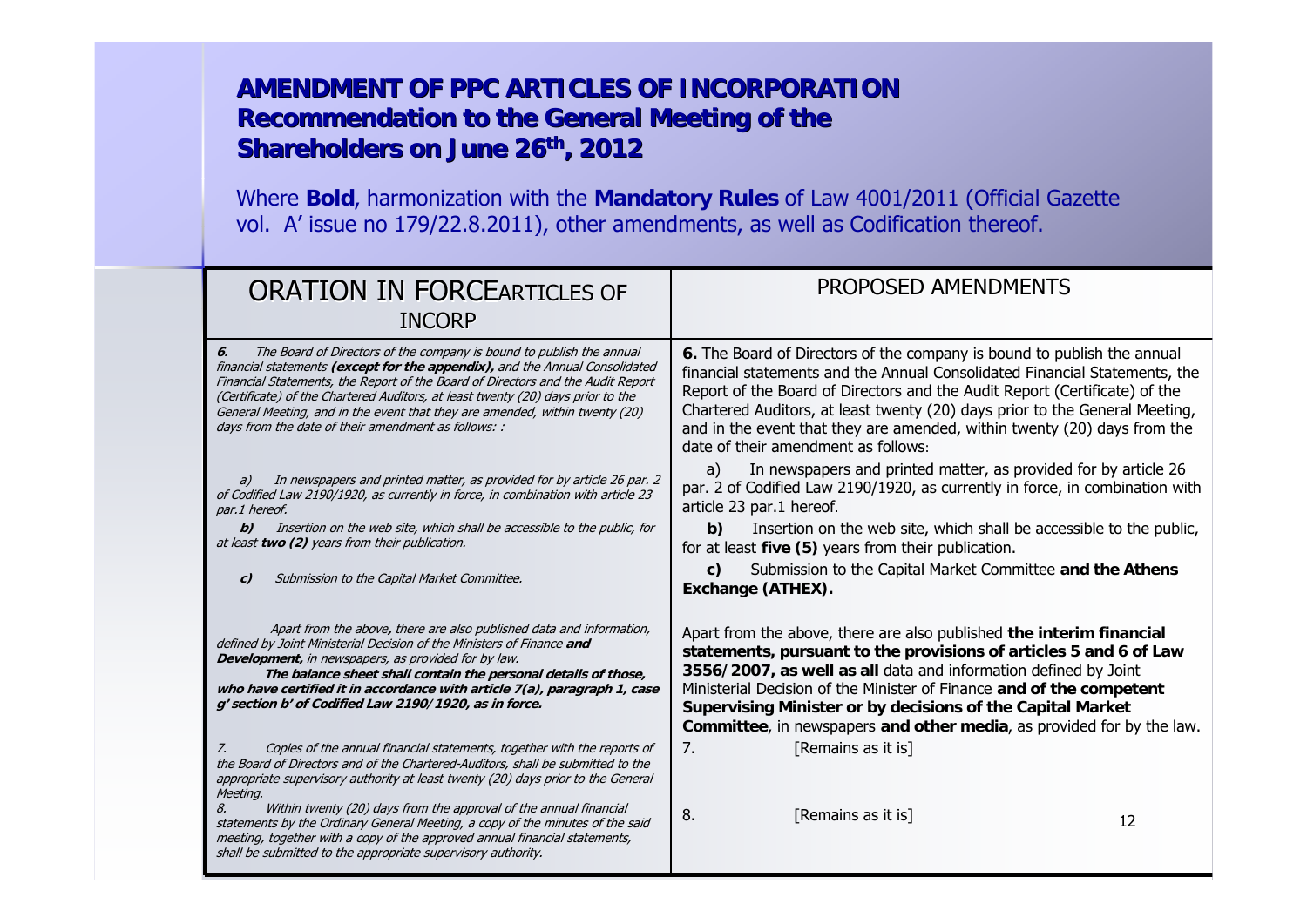| <b>ORATION IN FORCEARTICLES OF</b><br><b>INCORP</b>                                                                                                                                                                                                                                                                                                                                                                                                                   | PROPOSED AMENDMENTS                                                                                                                                                                                                                                                                                                                                                                                                                   |
|-----------------------------------------------------------------------------------------------------------------------------------------------------------------------------------------------------------------------------------------------------------------------------------------------------------------------------------------------------------------------------------------------------------------------------------------------------------------------|---------------------------------------------------------------------------------------------------------------------------------------------------------------------------------------------------------------------------------------------------------------------------------------------------------------------------------------------------------------------------------------------------------------------------------------|
| The Board of Directors of the company is bound to publish the annual<br>6.<br>financial statements (except for the appendix), and the Annual Consolidated<br>Financial Statements, the Report of the Board of Directors and the Audit Report<br>(Certificate) of the Chartered Auditors, at least twenty (20) days prior to the<br>General Meeting, and in the event that they are amended, within twenty (20)<br>days from the date of their amendment as follows: : | 6. The Board of Directors of the company is bound to publish the annual<br>financial statements and the Annual Consolidated Financial Statements, the<br>Report of the Board of Directors and the Audit Report (Certificate) of the<br>Chartered Auditors, at least twenty (20) days prior to the General Meeting,<br>and in the event that they are amended, within twenty (20) days from the<br>date of their amendment as follows: |
| In newspapers and printed matter, as provided for by article 26 par. 2<br>a)<br>of Codified Law 2190/1920, as currently in force, in combination with article 23<br>par.1 hereof.                                                                                                                                                                                                                                                                                     | In newspapers and printed matter, as provided for by article 26<br>a)<br>par. 2 of Codified Law 2190/1920, as currently in force, in combination with<br>article 23 par.1 hereof.                                                                                                                                                                                                                                                     |
| Insertion on the web site, which shall be accessible to the public, for<br>b)<br>at least two (2) years from their publication.                                                                                                                                                                                                                                                                                                                                       | Insertion on the web site, which shall be accessible to the public,<br>b)<br>for at least five (5) years from their publication.                                                                                                                                                                                                                                                                                                      |
| Submission to the Capital Market Committee.<br>c)                                                                                                                                                                                                                                                                                                                                                                                                                     | Submission to the Capital Market Committee and the Athens<br>C)<br>Exchange (ATHEX).                                                                                                                                                                                                                                                                                                                                                  |
| Apart from the above, there are also published data and information,<br>defined by Joint Ministerial Decision of the Ministers of Finance and<br>Development, in newspapers, as provided for by law.<br>The balance sheet shall contain the personal details of those,<br>who have certified it in accordance with article $7(a)$ , paragraph 1, case<br>g' section b' of Codified Law 2190/1920, as in force.                                                        | Apart from the above, there are also published the interim financial<br>statements, pursuant to the provisions of articles 5 and 6 of Law<br>3556/2007, as well as all data and information defined by Joint<br>Ministerial Decision of the Minister of Finance and of the competent<br>Supervising Minister or by decisions of the Capital Market<br>Committee, in newspapers and other media, as provided for by the law.           |
| Copies of the annual financial statements, together with the reports of<br>Z.<br>the Board of Directors and of the Chartered-Auditors, shall be submitted to the<br>appropriate supervisory authority at least twenty (20) days prior to the General<br>Meeting.                                                                                                                                                                                                      | [Remains as it is]<br>7.                                                                                                                                                                                                                                                                                                                                                                                                              |
| Within twenty (20) days from the approval of the annual financial<br>8.<br>statements by the Ordinary General Meeting, a copy of the minutes of the said<br>meeting, together with a copy of the approved annual financial statements,<br>shall be submitted to the appropriate supervisory authority.                                                                                                                                                                | 8.<br>[Remains as it is]<br>12                                                                                                                                                                                                                                                                                                                                                                                                        |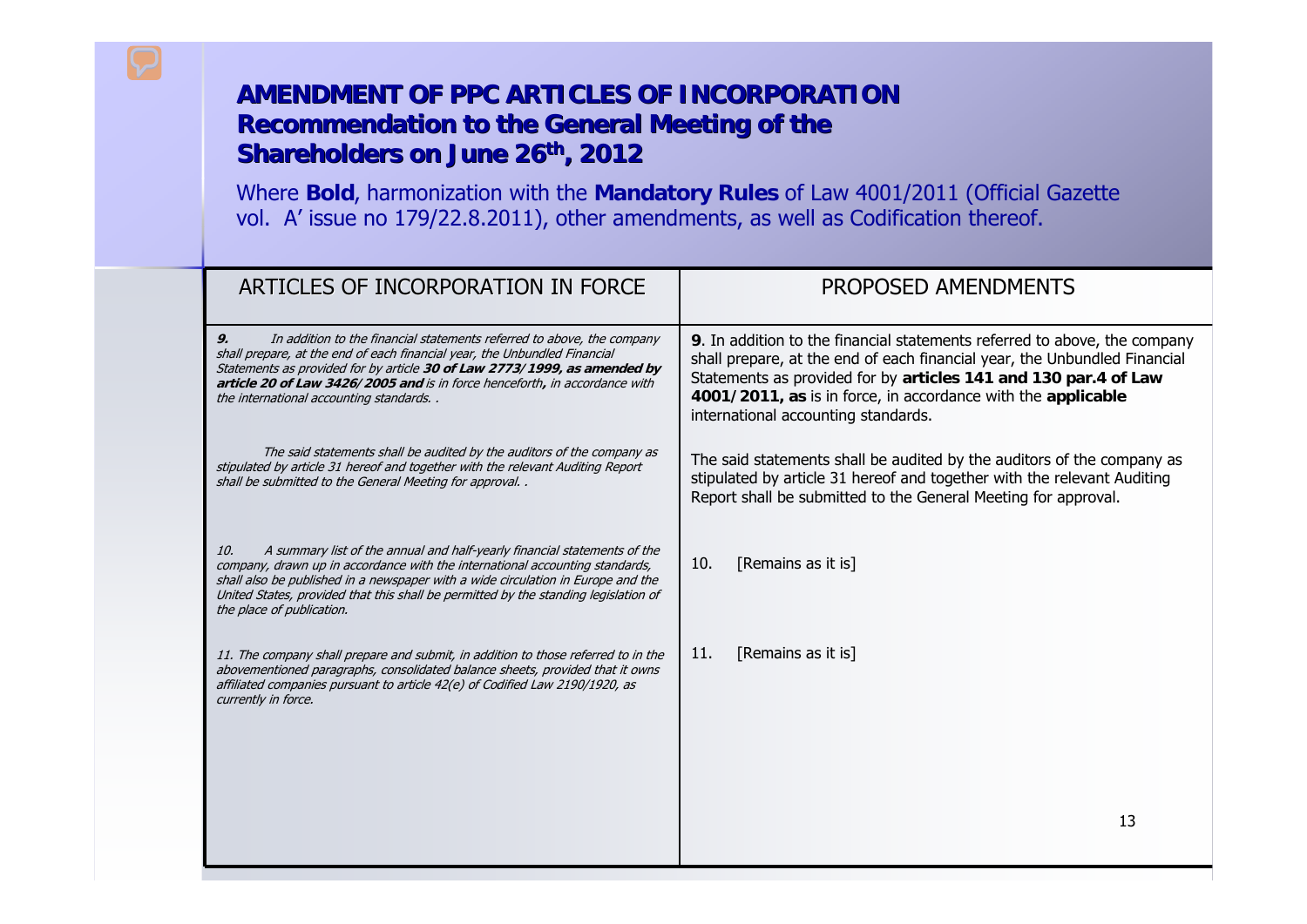| ARTICLES OF INCORPORATION IN FORCE                                                                                                                                                                                                                                                                                                                                      | <b>PROPOSED AMENDMENTS</b>                                                                                                                                                                                                                                                                                                       |
|-------------------------------------------------------------------------------------------------------------------------------------------------------------------------------------------------------------------------------------------------------------------------------------------------------------------------------------------------------------------------|----------------------------------------------------------------------------------------------------------------------------------------------------------------------------------------------------------------------------------------------------------------------------------------------------------------------------------|
| 9.<br>In addition to the financial statements referred to above, the company<br>shall prepare, at the end of each financial year, the Unbundled Financial<br>Statements as provided for by article 30 of Law 2773/1999, as amended by<br>article 20 of Law 3426/2005 and is in force henceforth, in accordance with<br>the international accounting standards           | 9. In addition to the financial statements referred to above, the company<br>shall prepare, at the end of each financial year, the Unbundled Financial<br>Statements as provided for by articles 141 and 130 par.4 of Law<br>4001/2011, as is in force, in accordance with the applicable<br>international accounting standards. |
| The said statements shall be audited by the auditors of the company as<br>stipulated by article 31 hereof and together with the relevant Auditing Report<br>shall be submitted to the General Meeting for approval                                                                                                                                                      | The said statements shall be audited by the auditors of the company as<br>stipulated by article 31 hereof and together with the relevant Auditing<br>Report shall be submitted to the General Meeting for approval.                                                                                                              |
| A summary list of the annual and half-yearly financial statements of the<br>10.<br>company, drawn up in accordance with the international accounting standards,<br>shall also be published in a newspaper with a wide circulation in Europe and the<br>United States, provided that this shall be permitted by the standing legislation of<br>the place of publication. | [Remains as it is]<br>10.                                                                                                                                                                                                                                                                                                        |
| 11. The company shall prepare and submit, in addition to those referred to in the<br>abovementioned paragraphs, consolidated balance sheets, provided that it owns<br>affiliated companies pursuant to article 42(e) of Codified Law 2190/1920, as<br>currently in force.                                                                                               | 11.<br>[Remains as it is]                                                                                                                                                                                                                                                                                                        |
|                                                                                                                                                                                                                                                                                                                                                                         |                                                                                                                                                                                                                                                                                                                                  |
|                                                                                                                                                                                                                                                                                                                                                                         | 13                                                                                                                                                                                                                                                                                                                               |